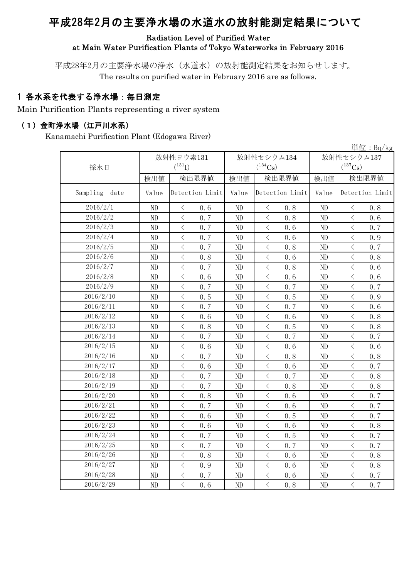# 平成28年2月の主要浄水場の水道水の放射能測定結果について

#### Radiation Level of Purified Water at Main Water Purification Plants of Tokyo Waterworks in February 2016

平成28年2月の主要浄水場の浄水(水道水)の放射能測定結果をお知らせします。 The results on purified water in February 2016 are as follows.

### 1 各水系を代表する浄水場:毎日測定

Main Purification Plants representing a river system

#### (1)金町浄水場(江戸川水系)

Kanamachi Purification Plant (Edogawa River)

|                  | 単位: $Bq/kg$ |                                                                                                                                                                                     |          |                                                                                                                                                                                     |              |                                                                                                                                                                                                                                                                                                                                                                                                                                                                                                                                                                                                                                                                                           |  |  |  |  |
|------------------|-------------|-------------------------------------------------------------------------------------------------------------------------------------------------------------------------------------|----------|-------------------------------------------------------------------------------------------------------------------------------------------------------------------------------------|--------------|-------------------------------------------------------------------------------------------------------------------------------------------------------------------------------------------------------------------------------------------------------------------------------------------------------------------------------------------------------------------------------------------------------------------------------------------------------------------------------------------------------------------------------------------------------------------------------------------------------------------------------------------------------------------------------------------|--|--|--|--|
|                  |             | 放射性ヨウ素131                                                                                                                                                                           |          | 放射性セシウム134                                                                                                                                                                          | 放射性セシウム137   |                                                                                                                                                                                                                                                                                                                                                                                                                                                                                                                                                                                                                                                                                           |  |  |  |  |
| 採水日              |             | $(^{131}I)$                                                                                                                                                                         |          | $(^{134}\mathrm{Cs})$                                                                                                                                                               | $(^{137}Cs)$ |                                                                                                                                                                                                                                                                                                                                                                                                                                                                                                                                                                                                                                                                                           |  |  |  |  |
|                  | 検出値         | 検出限界値                                                                                                                                                                               | 検出値      | 検出限界値                                                                                                                                                                               | 検出値          | 検出限界値                                                                                                                                                                                                                                                                                                                                                                                                                                                                                                                                                                                                                                                                                     |  |  |  |  |
| Sampling<br>date | Value       | Detection Limit                                                                                                                                                                     | Value    | Detection Limit                                                                                                                                                                     | Value        | Detection Limit                                                                                                                                                                                                                                                                                                                                                                                                                                                                                                                                                                                                                                                                           |  |  |  |  |
| 2016/2/1         | ND          | $\langle$<br>0.6                                                                                                                                                                    | ND       | $\langle$<br>0.8                                                                                                                                                                    | ND           | $\langle$<br>0.8                                                                                                                                                                                                                                                                                                                                                                                                                                                                                                                                                                                                                                                                          |  |  |  |  |
| 2016/2/2         | ND          | $\langle$<br>0.7                                                                                                                                                                    | ND       | $\, <\,$<br>0.8                                                                                                                                                                     | ND           | $\lt$<br>0.6                                                                                                                                                                                                                                                                                                                                                                                                                                                                                                                                                                                                                                                                              |  |  |  |  |
| 2016/2/3         | ND          | $\lt$<br>0.7                                                                                                                                                                        | ND       | $\lt$<br>0.6                                                                                                                                                                        | ND           | $\lt$<br>0.7                                                                                                                                                                                                                                                                                                                                                                                                                                                                                                                                                                                                                                                                              |  |  |  |  |
| 2016/2/4         | ND          | $\langle$<br>0.7                                                                                                                                                                    | ND       | $\,<\,$<br>0.6                                                                                                                                                                      | ND           | $\,$ $\,$ $\,$<br>0.9                                                                                                                                                                                                                                                                                                                                                                                                                                                                                                                                                                                                                                                                     |  |  |  |  |
| 2016/2/5         | ND          | $\langle$<br>0.7                                                                                                                                                                    | ND       | $\lt$<br>0.8                                                                                                                                                                        | ND           | $\overline{\left\langle \right\rangle }$<br>0.7                                                                                                                                                                                                                                                                                                                                                                                                                                                                                                                                                                                                                                           |  |  |  |  |
| 2016/2/6         | ND          | $\lt$<br>0.8                                                                                                                                                                        | ND       | $\,$ $\,$ $\,$<br>0.6                                                                                                                                                               | ND           | $\langle$<br>0.8                                                                                                                                                                                                                                                                                                                                                                                                                                                                                                                                                                                                                                                                          |  |  |  |  |
| 2016/2/7         | ND          | $\overline{\left\langle \right\rangle }$<br>0.7                                                                                                                                     | ND       | $\langle$<br>0.8                                                                                                                                                                    | ND           | $\overline{\left\langle \right\rangle }$<br>0.6                                                                                                                                                                                                                                                                                                                                                                                                                                                                                                                                                                                                                                           |  |  |  |  |
| 2016/2/8         | ND          | $\langle$<br>0.6                                                                                                                                                                    | $\rm ND$ | $\langle$<br>0.6                                                                                                                                                                    | ND           | $\overline{\left\langle \right\rangle }$<br>0.6                                                                                                                                                                                                                                                                                                                                                                                                                                                                                                                                                                                                                                           |  |  |  |  |
| 2016/2/9         | ND          | $\langle$<br>0.7                                                                                                                                                                    | ND       | $\, \leq$<br>0.7                                                                                                                                                                    | ND           | $\langle$<br>0.7                                                                                                                                                                                                                                                                                                                                                                                                                                                                                                                                                                                                                                                                          |  |  |  |  |
| 2016/2/10        | ND          | $\lt$<br>0.5                                                                                                                                                                        | ND       | $\lt$<br>0.5                                                                                                                                                                        | ND           | $\lt$<br>0.9                                                                                                                                                                                                                                                                                                                                                                                                                                                                                                                                                                                                                                                                              |  |  |  |  |
| 2016/2/11        | ND          | $\langle$<br>0.7                                                                                                                                                                    | ND       | $\lt$<br>0.7                                                                                                                                                                        | ND           | $\langle$<br>0.6                                                                                                                                                                                                                                                                                                                                                                                                                                                                                                                                                                                                                                                                          |  |  |  |  |
| 2016/2/12        | ND          | $\langle$<br>0.6                                                                                                                                                                    | ND       | $\langle$<br>0.6                                                                                                                                                                    | ND           | $\overline{\left\langle \right\rangle }$<br>0.8                                                                                                                                                                                                                                                                                                                                                                                                                                                                                                                                                                                                                                           |  |  |  |  |
| 2016/2/13        | ND          | $\, \big\langle \,$<br>0.8                                                                                                                                                          | ND       | $\, \big\langle \,$<br>0.5                                                                                                                                                          | ND           | $\overline{\left\langle \right\rangle }$<br>0.8                                                                                                                                                                                                                                                                                                                                                                                                                                                                                                                                                                                                                                           |  |  |  |  |
| 2016/2/14        | ND          | $\lt$<br>0.7                                                                                                                                                                        | ND       | $\lt$<br>0.7                                                                                                                                                                        | ND           | $\langle$<br>0.7                                                                                                                                                                                                                                                                                                                                                                                                                                                                                                                                                                                                                                                                          |  |  |  |  |
| 2016/2/15        | ND          | $\langle$<br>0.6                                                                                                                                                                    | ND       | $\langle$<br>0, 6                                                                                                                                                                   | ND           | $\overline{\left\langle \right\rangle }$<br>0, 6                                                                                                                                                                                                                                                                                                                                                                                                                                                                                                                                                                                                                                          |  |  |  |  |
| 2016/2/16        | ND          | $\overline{\left\langle \right. }% ,\left\langle \overline{\left\langle \right. }% ,\left\langle \overline{\left\langle \right\rangle }\right\rangle \right.$<br>0.7                | ND       | $\lt$<br>0.8                                                                                                                                                                        | ND           | $\langle$<br>0.8                                                                                                                                                                                                                                                                                                                                                                                                                                                                                                                                                                                                                                                                          |  |  |  |  |
| 2016/2/17        | ND          | $\, \big\langle \,$<br>0.6                                                                                                                                                          | ND       | $\,$ $\,$ $\,$<br>0.6                                                                                                                                                               | ND           | $\langle$<br>0.7                                                                                                                                                                                                                                                                                                                                                                                                                                                                                                                                                                                                                                                                          |  |  |  |  |
| 2016/2/18        | ND          | $\lt$<br>0.7                                                                                                                                                                        | ND       | $\lt$<br>0.7                                                                                                                                                                        | ND           | $\lt$<br>0.8                                                                                                                                                                                                                                                                                                                                                                                                                                                                                                                                                                                                                                                                              |  |  |  |  |
| 2016/2/19        | ND          | $\overline{\left\langle \right\rangle }$<br>0.7                                                                                                                                     | ND       | $\langle$<br>0.8                                                                                                                                                                    | ND           | $\overline{\left\langle \right\rangle }$<br>0.8                                                                                                                                                                                                                                                                                                                                                                                                                                                                                                                                                                                                                                           |  |  |  |  |
| 2016/2/20        | ND          | $\, \big\langle \,$<br>0.8                                                                                                                                                          | ND       | $\,$ $\,$ $\,$<br>0.6                                                                                                                                                               | ND           | $\langle$<br>0.7                                                                                                                                                                                                                                                                                                                                                                                                                                                                                                                                                                                                                                                                          |  |  |  |  |
| 2016/2/21        | ND          | $\overline{\left\langle \right\rangle }$<br>0.7                                                                                                                                     | ND       | $\overline{\left\langle \right. }% ,\left\langle \overline{\left\langle \right. }% ,\left\langle \overline{\left\langle \right. }\right\rangle \right\rangle \left. \right.$<br>0.6 | ND           | $\overline{\left\langle \right. }% ,\left\langle \overline{\left\langle \right. }\right\rangle _{0}\right\langle \left. \overline{\left\langle \right. }\right\rangle _{0}\left\langle \overline{\left\langle \right. }\right\rangle _{0}\left\langle \overline{\left\langle \right. }\right\rangle _{0}\left\langle \overline{\left\langle \right. }\right\rangle _{0}\left\langle \overline{\left\langle \right. }\right\rangle _{0}\left\langle \overline{\left\langle \right. }\right\rangle _{0}\left\langle \overline{\left\langle \right. }\right\rangle _{0}\left\langle \overline{\left\langle \right. }\right\rangle _{0}\left\langle \overline{\left\langle \right. }\$<br>0.7 |  |  |  |  |
| 2016/2/22        | ND          | $\overline{\left\langle \right\rangle }$<br>0.6                                                                                                                                     | ND       | $\langle$<br>0.5                                                                                                                                                                    | ND           | $\overline{\left\langle \right\rangle }$<br>0.7                                                                                                                                                                                                                                                                                                                                                                                                                                                                                                                                                                                                                                           |  |  |  |  |
| 2016/2/23        | ND          | $\overline{\left\langle \right\rangle }$<br>0.6                                                                                                                                     | ND       | $\overline{\left\langle \right\rangle }$<br>0.6                                                                                                                                     | ND           | $\overline{\left\langle \right\rangle }$<br>0.8                                                                                                                                                                                                                                                                                                                                                                                                                                                                                                                                                                                                                                           |  |  |  |  |
| 2016/2/24        | ND          | $\langle$<br>0.7                                                                                                                                                                    | ND       | $\bigg\langle$<br>0.5                                                                                                                                                               | ND           | $\langle$<br>0.7                                                                                                                                                                                                                                                                                                                                                                                                                                                                                                                                                                                                                                                                          |  |  |  |  |
| 2016/2/25        | ND          | $\, <\,$<br>0.7                                                                                                                                                                     | ND       | $\, <\,$<br>0.7                                                                                                                                                                     | ND           | $\,$ $\,$ $\,$<br>0.7                                                                                                                                                                                                                                                                                                                                                                                                                                                                                                                                                                                                                                                                     |  |  |  |  |
| 2016/2/26        | ND          | $\lt$<br>0.8                                                                                                                                                                        | ND       | $\lt$<br>0.6                                                                                                                                                                        | ND           | $\lt$<br>0.8                                                                                                                                                                                                                                                                                                                                                                                                                                                                                                                                                                                                                                                                              |  |  |  |  |
| 2016/2/27        | ND          | $\lt$<br>0.9                                                                                                                                                                        | ND       | $\lt$<br>0.6                                                                                                                                                                        | ND           | $\lt$<br>0.8                                                                                                                                                                                                                                                                                                                                                                                                                                                                                                                                                                                                                                                                              |  |  |  |  |
| 2016/2/28        | ND          | $\overline{\left\langle \right. }% ,\left\langle \overline{\left\langle \right. }% ,\left\langle \overline{\left\langle \right. }\right\rangle \right\rangle \left. \right.$<br>0.7 | ND       | $\bigg\langle$<br>0.6                                                                                                                                                               | ND           | $\langle$<br>0.7                                                                                                                                                                                                                                                                                                                                                                                                                                                                                                                                                                                                                                                                          |  |  |  |  |
| 2016/2/29        | ND          | $\overline{\left\langle \right\rangle }$<br>0.6                                                                                                                                     | ND       | $\overline{\left\langle \right\rangle }$<br>0.8                                                                                                                                     | ND           | $\overline{\left\langle \right\rangle }$<br>0.7                                                                                                                                                                                                                                                                                                                                                                                                                                                                                                                                                                                                                                           |  |  |  |  |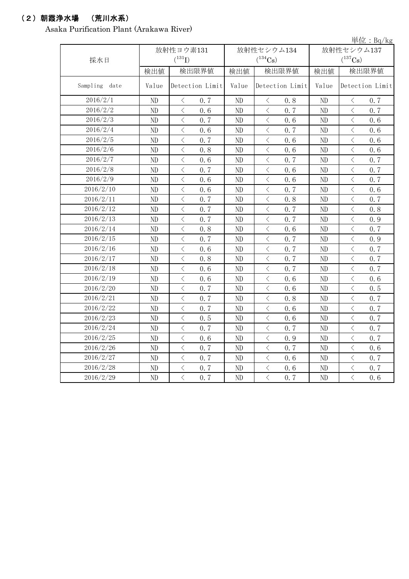### (2)朝霞浄水場 (荒川水系)

Asaka Purification Plant (Arakawa River)

|                  |          |                                                                                                                                                                                     |          |                                                 |       | 単位: $Bq/kg$                                                                                                                                                                                                                                                                                                                                                                                                                                                                                                                                                                                                                                                                               |
|------------------|----------|-------------------------------------------------------------------------------------------------------------------------------------------------------------------------------------|----------|-------------------------------------------------|-------|-------------------------------------------------------------------------------------------------------------------------------------------------------------------------------------------------------------------------------------------------------------------------------------------------------------------------------------------------------------------------------------------------------------------------------------------------------------------------------------------------------------------------------------------------------------------------------------------------------------------------------------------------------------------------------------------|
|                  |          | 放射性ヨウ素131                                                                                                                                                                           |          | 放射性セシウム134                                      |       | 放射性セシウム137                                                                                                                                                                                                                                                                                                                                                                                                                                                                                                                                                                                                                                                                                |
| 採水日              |          | $(^{131}I)$                                                                                                                                                                         |          | $(^{134}Cs)$                                    |       | $(^{137}Cs)$                                                                                                                                                                                                                                                                                                                                                                                                                                                                                                                                                                                                                                                                              |
|                  | 検出値      | 検出限界値                                                                                                                                                                               | 検出値      | 検出限界値                                           | 検出値   | 検出限界値                                                                                                                                                                                                                                                                                                                                                                                                                                                                                                                                                                                                                                                                                     |
| Sampling<br>date | Value    | Detection Limit                                                                                                                                                                     | Value    | Detection Limit                                 | Value | Detection Limit                                                                                                                                                                                                                                                                                                                                                                                                                                                                                                                                                                                                                                                                           |
| 2016/2/1         | ND       | $\, <\,$<br>0.7                                                                                                                                                                     | ND       | $\langle$<br>0.8                                | ND    | $\, <\,$<br>0.7                                                                                                                                                                                                                                                                                                                                                                                                                                                                                                                                                                                                                                                                           |
| 2016/2/2         | ND       | $\langle$<br>0.6                                                                                                                                                                    | ND       | $\langle$<br>0.7                                | ND    | $\, <\,$<br>0.7                                                                                                                                                                                                                                                                                                                                                                                                                                                                                                                                                                                                                                                                           |
| 2016/2/3         | ND       | $\overline{\left\langle \right\rangle }$<br>0.7                                                                                                                                     | ND       | $\langle$<br>0.6                                | ND    | $\overline{\left\langle \right\rangle }$<br>0.6                                                                                                                                                                                                                                                                                                                                                                                                                                                                                                                                                                                                                                           |
| 2016/2/4         | ND       | $\langle$<br>0.6                                                                                                                                                                    | $\rm ND$ | $\langle$<br>0.7                                | ND    | $\, <\,$<br>0.6                                                                                                                                                                                                                                                                                                                                                                                                                                                                                                                                                                                                                                                                           |
| 2016/2/5         | ND       | $\overline{\left\langle \right. }% ,\left\langle \overline{\left\langle \right. }% ,\left\langle \overline{\left\langle \right. }\right\rangle \right\rangle \left. \right.$<br>0.7 | ND       | $\langle$<br>0.6                                | ND    | $\overline{\left\langle \right. }% ,\left\langle \overline{\left\langle \right. }\right\rangle _{0}\right\langle \left. \overline{\left\langle \right. }\right\rangle _{0}\left\langle \overline{\left\langle \right. }\right\rangle _{0}\left\langle \overline{\left\langle \right. }\right\rangle _{0}\left\langle \overline{\left\langle \right. }\right\rangle _{0}\left\langle \overline{\left\langle \right. }\right\rangle _{0}\left\langle \overline{\left\langle \right. }\right\rangle _{0}\left\langle \overline{\left\langle \right. }\right\rangle _{0}\left\langle \overline{\left\langle \right. }\right\rangle _{0}\left\langle \overline{\left\langle \right. }\$<br>0.6 |
| 2016/2/6         | ND       | $\overline{\left\langle \right. }% ,\left\langle \overline{\left\langle \right. }% ,\left\langle \overline{\left\langle \right. }\right\rangle \right\rangle \left. \right.$<br>0.8 | ND       | $\langle$<br>0.6                                | ND    | $\langle$<br>0.6                                                                                                                                                                                                                                                                                                                                                                                                                                                                                                                                                                                                                                                                          |
| 2016/2/7         | ND       | $\langle$<br>0.6                                                                                                                                                                    | ND       | $\lt$<br>0.7                                    | ND    | $\lt$<br>0.7                                                                                                                                                                                                                                                                                                                                                                                                                                                                                                                                                                                                                                                                              |
| 2016/2/8         | ND       | $\langle$<br>0, 7                                                                                                                                                                   | ND       | $\langle$<br>0.6                                | ND    | $\langle$<br>0.7                                                                                                                                                                                                                                                                                                                                                                                                                                                                                                                                                                                                                                                                          |
| 2016/2/9         | ND       | $\hspace{0.1cm}\big\langle$<br>0.6                                                                                                                                                  | ND       | $\,<\,$<br>0.6                                  | ND    | $\, <\,$<br>0.7                                                                                                                                                                                                                                                                                                                                                                                                                                                                                                                                                                                                                                                                           |
| 2016/2/10        | ND       | $\hspace{0.1cm}\big\langle$<br>0.6                                                                                                                                                  | ND       | 0.7<br>$\lt$                                    | ND    | $\lt$<br>0.6                                                                                                                                                                                                                                                                                                                                                                                                                                                                                                                                                                                                                                                                              |
| 2016/2/11        | ND       | $\lt$<br>0.7                                                                                                                                                                        | ND       | $\lt$<br>0.8                                    | ND    | $\langle$<br>0.7                                                                                                                                                                                                                                                                                                                                                                                                                                                                                                                                                                                                                                                                          |
| 2016/2/12        | ND       | $\overline{\left\langle \right\rangle }$<br>0.7                                                                                                                                     | ND       | $\overline{\left\langle \right\rangle }$<br>0.7 | ND    | $\overline{\left\langle \right\rangle }$<br>0.8                                                                                                                                                                                                                                                                                                                                                                                                                                                                                                                                                                                                                                           |
| 2016/2/13        | ND       | $\,$ $\,$ $\,$<br>0.7                                                                                                                                                               | ND       | $\lt$<br>0.7                                    | ND    | $\langle$<br>0.9                                                                                                                                                                                                                                                                                                                                                                                                                                                                                                                                                                                                                                                                          |
| 2016/2/14        | ND       | $\langle$<br>0.8                                                                                                                                                                    | ND       | $\langle$<br>0.6                                | ND    | $\overline{\left\langle \right\rangle }$<br>0.7                                                                                                                                                                                                                                                                                                                                                                                                                                                                                                                                                                                                                                           |
| 2016/2/15        | ND       | $\lt$<br>0.7                                                                                                                                                                        | ND       | $\lt$<br>0.7                                    | ND    | $\lt$<br>0.9                                                                                                                                                                                                                                                                                                                                                                                                                                                                                                                                                                                                                                                                              |
| 2016/2/16        | ND       | $\,$ $\,$ $\,$<br>0.6                                                                                                                                                               | ND       | $\, <\,$<br>0.7                                 | ND    | $\,$ $\,$ $\,$<br>0.7                                                                                                                                                                                                                                                                                                                                                                                                                                                                                                                                                                                                                                                                     |
| 2016/2/17        | ND       | $\, <\,$<br>0.8                                                                                                                                                                     | ND       | $\, <\,$<br>0.7                                 | ND    | $\, <\,$<br>0.7                                                                                                                                                                                                                                                                                                                                                                                                                                                                                                                                                                                                                                                                           |
| 2016/2/18        | ND       | $\overline{\left\langle \right\rangle }$<br>0.6                                                                                                                                     | ND       | $\langle$<br>0.7                                | ND    | $\overline{\left\langle \right\rangle }$<br>0.7                                                                                                                                                                                                                                                                                                                                                                                                                                                                                                                                                                                                                                           |
| 2016/2/19        | $\rm ND$ | $\,$ $\,$ $\,$<br>0.6                                                                                                                                                               | $\rm ND$ | $\langle$<br>0, 6                               | ND    | $\, \leq$<br>0, 6                                                                                                                                                                                                                                                                                                                                                                                                                                                                                                                                                                                                                                                                         |
| 2016/2/20        | ND       | $\overline{\left\langle \right. }% ,\left\langle \overline{\left\langle \right. }% ,\left\langle \overline{\left\langle \right. }\right\rangle \right\rangle \left. \right.$<br>0.7 | ND       | $\langle$<br>0.6                                | ND    | $\overline{\left\langle \right. }% ,\left\langle \overline{\left\langle \right. }\right\rangle _{0}\right\langle \left. \overline{\left\langle \right. }\right\rangle _{0}\left\langle \overline{\left\langle \right. }\right\rangle _{0}\left\langle \overline{\left\langle \right. }\right\rangle _{0}\left\langle \overline{\left\langle \right. }\right\rangle _{0}\left\langle \overline{\left\langle \right. }\right\rangle _{0}\left\langle \overline{\left\langle \right. }\right\rangle _{0}\left\langle \overline{\left\langle \right. }\right\rangle _{0}\left\langle \overline{\left\langle \right. }\right\rangle _{0}\left\langle \overline{\left\langle \right. }\$<br>0.5 |
| 2016/2/21        | ND       | $\overline{\left\langle \right. }% ,\left\langle \overline{\left\langle \right. }% ,\left\langle \overline{\left\langle \right. }\right\rangle \right\rangle \left. \right.$<br>0.7 | ND       | $\lt$<br>0.8                                    | ND    | $\langle$<br>0.7                                                                                                                                                                                                                                                                                                                                                                                                                                                                                                                                                                                                                                                                          |
| 2016/2/22        | ND       | $\langle$<br>0.7                                                                                                                                                                    | ND       | $\langle$<br>0.6                                | ND    | $\lt$<br>0.7                                                                                                                                                                                                                                                                                                                                                                                                                                                                                                                                                                                                                                                                              |
| 2016/2/23        | ND       | $\langle$<br>0.5                                                                                                                                                                    | ND       | $\, \zeta \,$<br>0.6                            | ND    | $\langle$<br>0.7                                                                                                                                                                                                                                                                                                                                                                                                                                                                                                                                                                                                                                                                          |
| 2016/2/24        | ND       | $\hspace{0.1mm} <\hspace{0.1mm}$<br>0.7                                                                                                                                             | ND       | $\,<\,$<br>0.7                                  | ND    | $\lt$<br>0.7                                                                                                                                                                                                                                                                                                                                                                                                                                                                                                                                                                                                                                                                              |
| 2016/2/25        | ND       | $\,$ $\,$ $\,$<br>0.6                                                                                                                                                               | ND       | $\lt$<br>0.9                                    | ND    | $\lt$<br>0.7                                                                                                                                                                                                                                                                                                                                                                                                                                                                                                                                                                                                                                                                              |
| 2016/2/26        | ND       | $\lt$<br>0.7                                                                                                                                                                        | ND       | $\lt$<br>0.7                                    | ND    | $\langle$<br>0.6                                                                                                                                                                                                                                                                                                                                                                                                                                                                                                                                                                                                                                                                          |
| 2016/2/27        | ND       | $\langle$<br>0.7                                                                                                                                                                    | $\rm ND$ | $\overline{\left\langle \right\rangle }$<br>0.6 | ND    | $\overline{\left\langle \right\rangle }$<br>0.7                                                                                                                                                                                                                                                                                                                                                                                                                                                                                                                                                                                                                                           |
| 2016/2/28        | ND       | $\hspace{0.1cm}\big\langle$<br>0.7                                                                                                                                                  | ND       | $\, \zeta \,$<br>0.6                            | ND    | $\bigg\langle$<br>0.7                                                                                                                                                                                                                                                                                                                                                                                                                                                                                                                                                                                                                                                                     |
| 2016/2/29        | ND       | $\overline{\langle}$<br>0, 7                                                                                                                                                        | ND       | $\overline{\left\langle \right\rangle }$<br>0.7 | ND    | $\overline{\left\langle \right\rangle }$<br>0, 6                                                                                                                                                                                                                                                                                                                                                                                                                                                                                                                                                                                                                                          |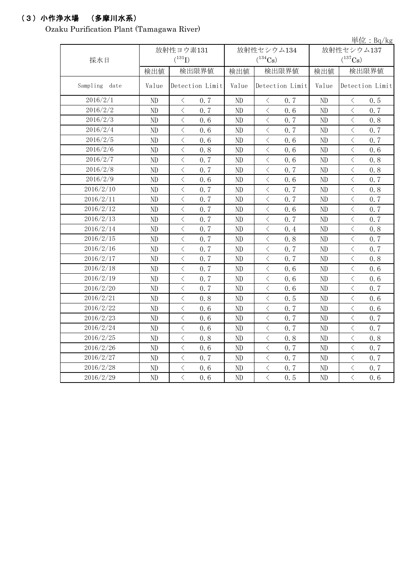## (3)小作浄水場 (多摩川水系)

Ozaku Purification Plant (Tamagawa River)

|                  |          |                                                 |       |                                                                                                                                                                                     |       | 単位: $Bq/kg$                                                                                                                                                           |  |
|------------------|----------|-------------------------------------------------|-------|-------------------------------------------------------------------------------------------------------------------------------------------------------------------------------------|-------|-----------------------------------------------------------------------------------------------------------------------------------------------------------------------|--|
|                  |          | 放射性ヨウ素131                                       |       | 放射性セシウム134                                                                                                                                                                          |       | 放射性セシウム137                                                                                                                                                            |  |
| 採水日              |          | $(^{131}I)$                                     |       | $(^{134}Cs)$                                                                                                                                                                        |       | $(^{137}\mathrm{Cs})$                                                                                                                                                 |  |
|                  | 検出値      | 検出限界値                                           | 検出値   | 検出限界値                                                                                                                                                                               | 検出値   | 検出限界値                                                                                                                                                                 |  |
| Sampling<br>date | Value    | Detection Limit                                 | Value | Detection Limit                                                                                                                                                                     | Value | Detection Limit                                                                                                                                                       |  |
| 2016/2/1         | ND       | $\, \leq$<br>0.7                                | ND    | $\, \leq$<br>0.7                                                                                                                                                                    | ND    | $\, \leq$<br>0.5                                                                                                                                                      |  |
| 2016/2/2         | ND       | $\langle$<br>0, 7                               | ND    | $\langle$<br>0, 6                                                                                                                                                                   | ND    | $\, <\,$<br>0.7                                                                                                                                                       |  |
| 2016/2/3         | $\rm ND$ | $\overline{\left\langle \right\rangle }$<br>0.6 | ND    | $\langle$<br>0.7                                                                                                                                                                    | ND    | $\overline{\left\langle \right\rangle }$<br>0.8                                                                                                                       |  |
| 2016/2/4         | $\rm ND$ | $\langle$<br>0.6                                | ND    | $\lt$<br>0.7                                                                                                                                                                        | ND    | $\, <\,$<br>0.7                                                                                                                                                       |  |
| 2016/2/5         | $\rm ND$ | $\,$ $\,$ $\,$<br>0.6                           | ND    | $\langle$<br>0.6                                                                                                                                                                    | ND    | $\overline{\left\langle \right. }% ,\left\langle \overline{\left\langle \right. }% ,\left\langle \overline{\left\langle \right\rangle }\right\rangle \right.$<br>0.7  |  |
| 2016/2/6         | ND       | $\overline{\left\langle \right\rangle }$<br>0.8 | ND    | $\lt$<br>0.6                                                                                                                                                                        | ND    | $\langle$<br>0.6                                                                                                                                                      |  |
| 2016/2/7         | ND       | $\langle$<br>0.7                                | ND    | $\langle$<br>0.6                                                                                                                                                                    | ND    | $\lt$<br>0.8                                                                                                                                                          |  |
| 2016/2/8         | ND       | $\overline{\left\langle \right\rangle }$<br>0.7 | ND    | $\lt$<br>0.7                                                                                                                                                                        | ND    | $\overline{\left\langle \right\rangle }$<br>0.8                                                                                                                       |  |
| 2016/2/9         | ND       | $\hspace{0.1mm}\big\langle$<br>0.6              | ND    | $\, <\,$<br>0.6                                                                                                                                                                     | ND    | $\,<\,$<br>0.7                                                                                                                                                        |  |
| 2016/2/10        | ND       | $\langle$<br>0.7                                | ND    | 0.7<br>$\lt$                                                                                                                                                                        | ND    | $\langle$<br>0.8                                                                                                                                                      |  |
| 2016/2/11        | ND       | $\langle$<br>0.7                                | ND    | $\lt$<br>0.7                                                                                                                                                                        | ND    | $\overline{\left\langle \right\rangle }$<br>0.7                                                                                                                       |  |
| 2016/2/12        | ND       | $\langle$<br>0.7                                | ND    | $\overline{\left\langle \right\rangle }$<br>0.6                                                                                                                                     | ND    | $\overline{\left\langle \right\rangle }$<br>0.7                                                                                                                       |  |
| 2016/2/13        | ND       | $\,$ $\,$ $\,$<br>0.7                           | ND    | $\lt$<br>0.7                                                                                                                                                                        | ND    | $\langle$<br>0.7                                                                                                                                                      |  |
| 2016/2/14        | ND       | $\overline{\left\langle \right\rangle }$<br>0.7 | ND    | $\overline{\left\langle \right\rangle }$<br>0.4                                                                                                                                     | ND    | $\overline{\left\langle \right\rangle }$<br>0.8                                                                                                                       |  |
| 2016/2/15        | ND       | $\langle$<br>0.7                                | ND    | $\lt$<br>0.8                                                                                                                                                                        | ND    | $\overline{\left\langle \right\rangle }$<br>0.7                                                                                                                       |  |
| 2016/2/16        | ND       | $\hspace{0.1cm}\big\langle$<br>0.7              | ND    | $\, \zeta \,$<br>0.7                                                                                                                                                                | ND    | $\,$ $\,$ $\,$<br>0.7                                                                                                                                                 |  |
| 2016/2/17        | ND       | $\hspace{0.1mm}\big\langle$<br>0.7              | ND    | $\, <\,$<br>0.7                                                                                                                                                                     | ND    | $\lt$<br>0.8                                                                                                                                                          |  |
| 2016/2/18        | ND       | $\langle$<br>0.7                                | ND    | $\langle$<br>0.6                                                                                                                                                                    | ND    | $\overline{\left\langle \right\rangle }$<br>0.6                                                                                                                       |  |
| 2016/2/19        | $\rm ND$ | $\overline{\left\langle \right\rangle }$<br>0.7 | ND    | $\lt$<br>0, 6                                                                                                                                                                       | ND    | $\, \leq$<br>0.6                                                                                                                                                      |  |
| 2016/2/20        | ND       | $\overline{\left\langle \right\rangle }$<br>0.7 | ND    | $\langle$<br>0.6                                                                                                                                                                    | ND    | $\overline{\left\langle \right. }% ,\left\langle \overline{\left\langle \right. }% ,\left\langle \overline{\left\langle \right\rangle }\right\rangle \right.$<br>0, 7 |  |
| 2016/2/21        | ND       | $\overline{\left\langle \right\rangle }$<br>0.8 | ND    | $\lt$<br>0.5                                                                                                                                                                        | ND    | $\langle$<br>0.6                                                                                                                                                      |  |
| 2016/2/22        | ND       | $\langle$<br>0.6                                | ND    | $\langle$<br>0.7                                                                                                                                                                    | ND    | $\lt$<br>0.6                                                                                                                                                          |  |
| 2016/2/23        | ND       | $\, \zeta \,$<br>0.6                            | ND    | $\, \zeta \,$<br>0.7                                                                                                                                                                | ND    | $\lt$<br>0.7                                                                                                                                                          |  |
| 2016/2/24        | ND       | $\langle$<br>0.6                                | ND    | $\, <\,$<br>0.7                                                                                                                                                                     | ND    | $\lt$<br>0.7                                                                                                                                                          |  |
| 2016/2/25        | ND       | $\langle$<br>0.8                                | ND    | $\lt$<br>0.8                                                                                                                                                                        | ND    | $\lt$<br>0.8                                                                                                                                                          |  |
| 2016/2/26        | ND       | $\langle$<br>0.6                                | ND    | $\lt$<br>0.7                                                                                                                                                                        | ND    | $\overline{\left\langle \right\rangle }$<br>0.7                                                                                                                       |  |
| 2016/2/27        | ND       | $\langle$<br>0.7                                | ND    | $\overline{\left\langle \right. }% ,\left\langle \overline{\left\langle \right. }% ,\left\langle \overline{\left\langle \right. }\right\rangle \right\rangle \left. \right.$<br>0.7 | ND    | $\overline{\left\langle \right\rangle }$<br>0.7                                                                                                                       |  |
| 2016/2/28        | ND       | $\hspace{0.1cm}\big\langle$<br>0.6              | ND    | $\langle$<br>0.7                                                                                                                                                                    | ND    | $\bigg\langle$<br>0.7                                                                                                                                                 |  |
| 2016/2/29        | ND       | $\overline{\langle}$<br>0.6                     | ND    | $\overline{\left\langle \right\rangle }$<br>0, 5                                                                                                                                    | ND    | $\overline{\left\langle \right\rangle }$<br>0, 6                                                                                                                      |  |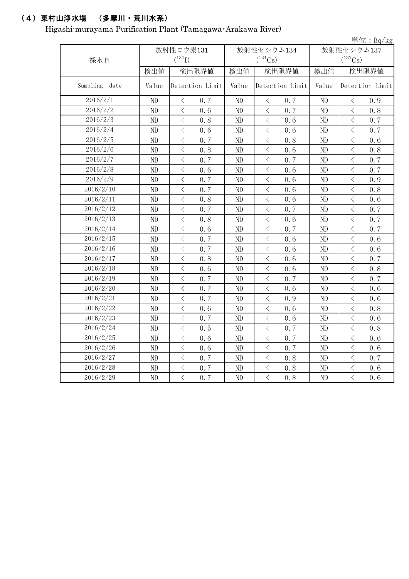## (4)東村山浄水場 (多摩川・荒川水系)

Higashi-murayama Purification Plant (Tamagawa・Arakawa River)

|               |       |                                                                                                                                                                      |                          |                                                 |            | 単位: $Bq/kg$                                     |  |
|---------------|-------|----------------------------------------------------------------------------------------------------------------------------------------------------------------------|--------------------------|-------------------------------------------------|------------|-------------------------------------------------|--|
|               |       | 放射性ヨウ素131                                                                                                                                                            |                          | 放射性セシウム134                                      | 放射性セシウム137 |                                                 |  |
| 採水日           |       | $(^{131}I)$                                                                                                                                                          |                          | $(^{134}\mathrm{Cs})$                           |            | $(^{137}Cs)$                                    |  |
|               | 検出値   | 検出限界値                                                                                                                                                                | 検出値                      | 検出限界値                                           | 検出値        | 検出限界値                                           |  |
| Sampling date | Value | Detection Limit                                                                                                                                                      | Detection Limit<br>Value |                                                 | Value      | Detection Limit                                 |  |
| 2016/2/1      | ND    | 0.7<br>$\langle$                                                                                                                                                     | ND                       | 0.7<br>$\langle$                                | ND         | 0.9<br>$\langle$                                |  |
| 2016/2/2      | ND    | $\langle$<br>0.6                                                                                                                                                     | ND                       | $\overline{\left\langle \right\rangle }$<br>0.7 | ND         | $\langle$<br>0.8                                |  |
| 2016/2/3      | ND    | $\langle$<br>0.8                                                                                                                                                     | ND                       | $\overline{\left\langle \right\rangle }$<br>0.6 | ND         | $\overline{\left\langle \right\rangle }$<br>0.7 |  |
| 2016/2/4      | ND    | $\langle$<br>0.6                                                                                                                                                     | ND                       | $\lt$<br>0.6                                    | ND         | $\, <\,$<br>0.7                                 |  |
| 2016/2/5      | ND    | $\langle$<br>0.7                                                                                                                                                     | ND                       | $\langle$<br>0.8                                | ND         | $\lt$<br>0.6                                    |  |
| 2016/2/6      | ND    | $\langle$<br>0.8                                                                                                                                                     | ND                       | $\lt$<br>0.6                                    | ND         | $\langle$<br>0.8                                |  |
| 2016/2/7      | ND    | $\overline{\left\langle \right\rangle }$<br>0.7                                                                                                                      | ND                       | $\langle$<br>0.7                                | ND         | $\langle$<br>0.7                                |  |
| 2016/2/8      | ND    | $\overline{\left\langle \right\rangle }$<br>0.6                                                                                                                      | ND                       | $\overline{\left\langle \right\rangle }$<br>0.6 | ND         | $\overline{\left\langle \right\rangle }$<br>0.7 |  |
| 2016/2/9      | ND    | $\overline{\left\langle \right\rangle }$<br>0.7                                                                                                                      | ND                       | $\lt$<br>0.6                                    | ND         | $\overline{\left\langle \right\rangle }$<br>0.9 |  |
| 2016/2/10     | ND    | $\langle$<br>0.7                                                                                                                                                     | ND                       | $\lt$<br>0.6                                    | ND         | $\lt$<br>0.8                                    |  |
| 2016/2/11     | ND    | $\langle$<br>0.8                                                                                                                                                     | ND                       | $\lt$<br>0.6                                    | ND         | $\lt$<br>0.6                                    |  |
| 2016/2/12     | ND    | $\langle$<br>0.7                                                                                                                                                     | ND                       | $\lt$<br>0.7                                    | ND         | $\lt$<br>0.7                                    |  |
| 2016/2/13     | ND    | $\langle$<br>0.8                                                                                                                                                     | ND                       | $\lt$<br>0.6                                    | ND         | $\lt$<br>0.7                                    |  |
| 2016/2/14     | ND    | $\overline{\left\langle \right\rangle }$<br>0.6                                                                                                                      | ND                       | $\langle$<br>0.7                                | ND         | $\,$ $\,$ $\,$<br>0.7                           |  |
| 2016/2/15     | ND    | $\langle$<br>0.7                                                                                                                                                     | ND                       | $\overline{\left\langle \right\rangle }$<br>0.6 | ND         | $\langle$<br>0.6                                |  |
| 2016/2/16     | ND    | $\langle$<br>0.7                                                                                                                                                     | ND                       | $\langle$<br>0.6                                | ND         | $\langle$<br>0.6                                |  |
| 2016/2/17     | ND    | $\overline{\left\langle \right. }% ,\left\langle \overline{\left\langle \right. }% ,\left\langle \overline{\left\langle \right\rangle }\right\rangle \right.$<br>0.8 | ND                       | $\langle$<br>0.6                                | ND         | $\, \zeta \,$<br>0.7                            |  |
| 2016/2/18     | ND    | $\lt$<br>0.6                                                                                                                                                         | ND                       | $\langle$<br>0.6                                | ND         | $\lt$<br>0.8                                    |  |
| 2016/2/19     | ND    | $\langle$<br>0.7                                                                                                                                                     | ND                       | $\lt$<br>0.7                                    | ND         | 0.7<br>$\langle$                                |  |
| 2016/2/20     | ND    | $\langle$<br>0.7                                                                                                                                                     | ND                       | $\overline{\left\langle \right\rangle }$<br>0.6 | ND         | $\langle$<br>0.6                                |  |
| 2016/2/21     | ND    | $\overline{\left\langle \right\rangle }$<br>0.7                                                                                                                      | ND                       | $\overline{\left\langle \right\rangle }$<br>0.9 | ND         | $\langle$<br>0.6                                |  |
| 2016/2/22     | ND    | $\langle$<br>0.6                                                                                                                                                     | ND                       | $\lt$<br>0, 6                                   | ND         | $\langle$<br>0.8                                |  |
| 2016/2/23     | ND    | $\langle$<br>0.7                                                                                                                                                     | ND                       | $\langle$<br>0.6                                | ND         | $\overline{\left\langle \right\rangle }$<br>0.6 |  |
| 2016/2/24     | ND    | $\,$ $\,$ $\,$<br>0.5                                                                                                                                                | ND                       | $\overline{\left\langle \right\rangle }$<br>0.7 | ND         | $\lt$<br>0.8                                    |  |
| 2016/2/25     | ND    | $\langle$<br>0.6                                                                                                                                                     | ND                       | $\lt$<br>0.7                                    | ND         | $\langle$<br>0.6                                |  |
| 2016/2/26     | ND    | $\langle$<br>0.6                                                                                                                                                     | ND                       | $\lt$<br>0.7                                    | ND         | $\langle$<br>0.6                                |  |
| 2016/2/27     | ND    | $\overline{\left\langle \right\rangle }$<br>0.7                                                                                                                      | ND                       | $\lt$<br>0.8                                    | ND         | 0.7<br>$\langle$                                |  |
| 2016/2/28     | ND    | $\langle$<br>0.7                                                                                                                                                     | ND                       | $\langle$<br>0.8                                | ND         | $\langle$<br>0.6                                |  |
| 2016/2/29     | ND    | $\overline{\langle}$<br>0, 7                                                                                                                                         | ND                       | $\overline{\left\langle \right\rangle }$<br>0.8 | ND         | $\overline{\left\langle \right\rangle }$<br>0.6 |  |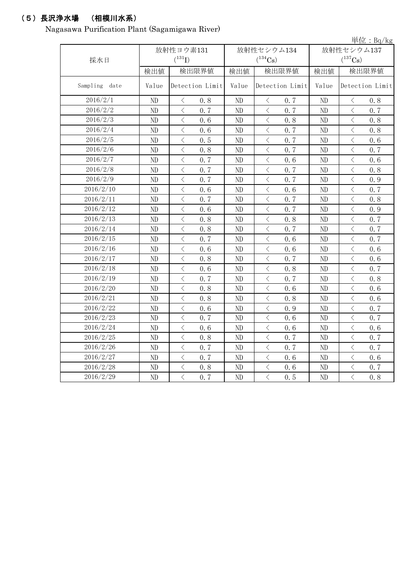## (5)長沢浄水場 (相模川水系)

Nagasawa Purification Plant (Sagamigawa River)

|               |          |                                                                                                                                                                                                                                                                                                                                                                                                                                                                                                                                                                                                                                                                                           |          |                                                 |       | 単位: $Bq/kg$                                                                                                                                                                         |  |
|---------------|----------|-------------------------------------------------------------------------------------------------------------------------------------------------------------------------------------------------------------------------------------------------------------------------------------------------------------------------------------------------------------------------------------------------------------------------------------------------------------------------------------------------------------------------------------------------------------------------------------------------------------------------------------------------------------------------------------------|----------|-------------------------------------------------|-------|-------------------------------------------------------------------------------------------------------------------------------------------------------------------------------------|--|
|               |          | 放射性ヨウ素131                                                                                                                                                                                                                                                                                                                                                                                                                                                                                                                                                                                                                                                                                 |          | 放射性セシウム134                                      |       | 放射性セシウム137                                                                                                                                                                          |  |
| 採水日           |          | $(^{131}I)$                                                                                                                                                                                                                                                                                                                                                                                                                                                                                                                                                                                                                                                                               |          | $(^{134}Cs)$                                    |       | $(^{137}\mathrm{Cs})$                                                                                                                                                               |  |
|               | 検出値      | 検出限界値                                                                                                                                                                                                                                                                                                                                                                                                                                                                                                                                                                                                                                                                                     | 検出値      | 検出限界値                                           | 検出値   | 検出限界値                                                                                                                                                                               |  |
| Sampling date | Value    | Detection Limit                                                                                                                                                                                                                                                                                                                                                                                                                                                                                                                                                                                                                                                                           | Value    | Detection Limit                                 | Value | Detection Limit                                                                                                                                                                     |  |
| 2016/2/1      | ND       | $\, \big\langle \,$<br>0.8                                                                                                                                                                                                                                                                                                                                                                                                                                                                                                                                                                                                                                                                | ND       | $\big\langle$<br>0.7                            | ND    | $\lt$<br>0.8                                                                                                                                                                        |  |
| 2016/2/2      | ND       | $\langle$<br>0, 7                                                                                                                                                                                                                                                                                                                                                                                                                                                                                                                                                                                                                                                                         | ND       | $\langle$<br>0.7                                | ND    | $\langle$<br>0.7                                                                                                                                                                    |  |
| 2016/2/3      | ND       | $\langle$<br>0.6                                                                                                                                                                                                                                                                                                                                                                                                                                                                                                                                                                                                                                                                          | ND       | $\langle$<br>0.8                                | ND    | $\langle$<br>0.8                                                                                                                                                                    |  |
| 2016/2/4      | ND       | $\overline{\left\langle \right\rangle }$<br>0.6                                                                                                                                                                                                                                                                                                                                                                                                                                                                                                                                                                                                                                           | ND       | $\langle$<br>0.7                                | ND    | $\,$ $\,$ $\,$<br>0.8                                                                                                                                                               |  |
| 2016/2/5      | ND       | $\overline{\left\langle \right. }% ,\left\langle \overline{\left\langle \right. }\right\rangle _{0}\right\langle \left. \overline{\left\langle \right. }\right\rangle _{0}\left\langle \overline{\left\langle \right. }\right\rangle _{0}\left\langle \overline{\left\langle \right. }\right\rangle _{0}\left\langle \overline{\left\langle \right. }\right\rangle _{0}\left\langle \overline{\left\langle \right. }\right\rangle _{0}\left\langle \overline{\left\langle \right. }\right\rangle _{0}\left\langle \overline{\left\langle \right. }\right\rangle _{0}\left\langle \overline{\left\langle \right. }\right\rangle _{0}\left\langle \overline{\left\langle \right. }\$<br>0.5 | ND       | $\lt$<br>0.7                                    | ND    | $\overline{\left\langle \right\rangle }$<br>0.6                                                                                                                                     |  |
| 2016/2/6      | ND       | $\langle$<br>0.8                                                                                                                                                                                                                                                                                                                                                                                                                                                                                                                                                                                                                                                                          | ND       | $\langle$<br>0.7                                | ND    | $\langle$<br>0.7                                                                                                                                                                    |  |
| 2016/2/7      | ND       | $\langle$<br>0.7                                                                                                                                                                                                                                                                                                                                                                                                                                                                                                                                                                                                                                                                          | ND       | $\,$ $\,$ $\,$<br>0.6                           | ND    | $\overline{\left\langle \right\rangle }$<br>0.6                                                                                                                                     |  |
| 2016/2/8      | ND       | $\,$ $\,$ $\,$<br>0.7                                                                                                                                                                                                                                                                                                                                                                                                                                                                                                                                                                                                                                                                     | ND       | $\, \zeta \,$<br>0.7                            | ND    | $\lt$<br>0.8                                                                                                                                                                        |  |
| 2016/2/9      | ND       | $\lt$<br>0.7                                                                                                                                                                                                                                                                                                                                                                                                                                                                                                                                                                                                                                                                              | ND       | $\lt$<br>0.7                                    | ND    | $\lt$<br>0.9                                                                                                                                                                        |  |
| 2016/2/10     | $\rm ND$ | $\langle$<br>0.6                                                                                                                                                                                                                                                                                                                                                                                                                                                                                                                                                                                                                                                                          | ND       | $\langle$<br>0.6                                | ND    | $\overline{\left\langle \right\rangle }$<br>0.7                                                                                                                                     |  |
| 2016/2/11     | $\rm ND$ | $\langle$<br>0.7                                                                                                                                                                                                                                                                                                                                                                                                                                                                                                                                                                                                                                                                          | ND       | $\lt$<br>0.7                                    | ND    | $\langle$<br>0.8                                                                                                                                                                    |  |
| 2016/2/12     | $\rm ND$ | $\langle$<br>0.6                                                                                                                                                                                                                                                                                                                                                                                                                                                                                                                                                                                                                                                                          | ND       | $\langle$<br>0.7                                | ND    | $\overline{\left\langle \right. }% ,\left\langle \overline{\left\langle \right. }% ,\left\langle \overline{\left\langle \right. }\right\rangle \right\rangle \left. \right.$<br>0.9 |  |
| 2016/2/13     | ND       | $\overline{\left\langle \right\rangle }$<br>0.8                                                                                                                                                                                                                                                                                                                                                                                                                                                                                                                                                                                                                                           | ND       | $\lt$<br>0.8                                    | ND    | $\langle$<br>0.7                                                                                                                                                                    |  |
| 2016/2/14     | ND       | $\overline{\left\langle \right\rangle }$<br>0.8                                                                                                                                                                                                                                                                                                                                                                                                                                                                                                                                                                                                                                           | ND       | $\lt$<br>0.7                                    | ND    | $\overline{\left\langle \right\rangle }$<br>0.7                                                                                                                                     |  |
| 2016/2/15     | ND       | $\langle$<br>0.7                                                                                                                                                                                                                                                                                                                                                                                                                                                                                                                                                                                                                                                                          | ND       | $\langle$<br>0, 6                               | ND    | $\langle$<br>0.7                                                                                                                                                                    |  |
| 2016/2/16     | ND       | $\langle$<br>0.6                                                                                                                                                                                                                                                                                                                                                                                                                                                                                                                                                                                                                                                                          | ND       | $\lt$<br>0.6                                    | ND    | $\lt$<br>0.6                                                                                                                                                                        |  |
| 2016/2/17     | ND       | $\hspace{0.1cm}\big\langle$<br>0.8                                                                                                                                                                                                                                                                                                                                                                                                                                                                                                                                                                                                                                                        | ND       | $\, \zeta \,$<br>0.7                            | ND    | $\, \zeta \,$<br>0.6                                                                                                                                                                |  |
| 2016/2/18     | ND       | $\overline{\left\langle \right. }% ,\left\langle \overline{\left\langle \right. }\right\rangle _{0}\right\langle \overline{\left\langle \right. }% ,\left\langle \overline{\left\langle \right. }\right\rangle _{0}\right\rangle _{0}}$<br>0.6                                                                                                                                                                                                                                                                                                                                                                                                                                            | ND       | $\langle$<br>0.8                                | ND    | $\langle$<br>0.7                                                                                                                                                                    |  |
| 2016/2/19     | ND       | $\overline{\left\langle \right\rangle }$<br>0.7                                                                                                                                                                                                                                                                                                                                                                                                                                                                                                                                                                                                                                           | ND       | $\langle$<br>0.7                                | ND    | $\overline{\left\langle \right\rangle }$<br>0.8                                                                                                                                     |  |
| 2016/2/20     | ND       | $\langle$<br>0.8                                                                                                                                                                                                                                                                                                                                                                                                                                                                                                                                                                                                                                                                          | ND       | $\langle$<br>0.6                                | ND    | $\langle$<br>0.6                                                                                                                                                                    |  |
| 2016/2/21     | ND       | $\langle$<br>0.8                                                                                                                                                                                                                                                                                                                                                                                                                                                                                                                                                                                                                                                                          | $\rm ND$ | $\langle$<br>0.8                                | ND    | $\langle$<br>0.6                                                                                                                                                                    |  |
| 2016/2/22     | ND       | $\,$ $\,$ $\,$<br>0.6                                                                                                                                                                                                                                                                                                                                                                                                                                                                                                                                                                                                                                                                     | ND       | $\langle$<br>0.9                                | ND    | $\langle$<br>0.7                                                                                                                                                                    |  |
| 2016/2/23     | ND       | $\langle$<br>0.7                                                                                                                                                                                                                                                                                                                                                                                                                                                                                                                                                                                                                                                                          | ND       | $\, \zeta \,$<br>0.6                            | ND    | $\overline{\left\langle \right\rangle }$<br>0.7                                                                                                                                     |  |
| 2016/2/24     | ND       | $\lt$<br>0.6                                                                                                                                                                                                                                                                                                                                                                                                                                                                                                                                                                                                                                                                              | ND       | $\lt$<br>0.6                                    | ND    | $\langle$<br>0.6                                                                                                                                                                    |  |
| 2016/2/25     | ND       | $\langle$<br>0.8                                                                                                                                                                                                                                                                                                                                                                                                                                                                                                                                                                                                                                                                          | ND       | 0.7<br>$\lt$                                    | ND    | $\lt$<br>0.7                                                                                                                                                                        |  |
| 2016/2/26     | ND       | $\langle$<br>0.7                                                                                                                                                                                                                                                                                                                                                                                                                                                                                                                                                                                                                                                                          | ND       | $\lt$<br>0.7                                    | ND    | $\overline{\left\langle \right\rangle }$<br>0.7                                                                                                                                     |  |
| 2016/2/27     | $\rm ND$ | $\overline{\left\langle \right\rangle }$<br>0.7                                                                                                                                                                                                                                                                                                                                                                                                                                                                                                                                                                                                                                           | ND       | $\overline{\left\langle \right\rangle }$<br>0.6 | ND    | $\overline{\left\langle \right\rangle }$<br>0.6                                                                                                                                     |  |
| 2016/2/28     | ND       | $\hspace{0.1cm}\big\langle$<br>0.8                                                                                                                                                                                                                                                                                                                                                                                                                                                                                                                                                                                                                                                        | ND       | $\langle$<br>0.6                                | ND    | $\bigg\langle$<br>0.7                                                                                                                                                               |  |
| 2016/2/29     | ND       | $\overline{\langle}$<br>0.7                                                                                                                                                                                                                                                                                                                                                                                                                                                                                                                                                                                                                                                               | ND       | $\overline{\langle}$<br>0.5                     | ND    | $\overline{\langle}$<br>0.8                                                                                                                                                         |  |